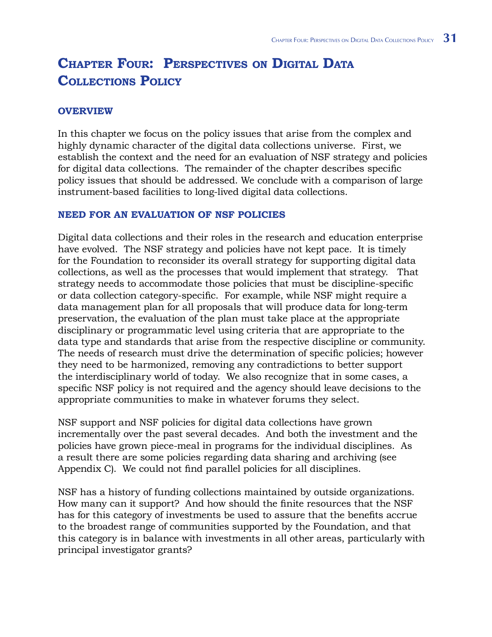# **Chapter Four: Perspectives on Digital Data Collections Policy**

#### **Overview**

In this chapter we focus on the policy issues that arise from the complex and highly dynamic character of the digital data collections universe. First, we establish the context and the need for an evaluation of NSF strategy and policies for digital data collections. The remainder of the chapter describes specific policy issues that should be addressed. We conclude with a comparison of large instrument-based facilities to long-lived digital data collections.

#### **Need for an Evaluation of NSF Policies**

Digital data collections and their roles in the research and education enterprise have evolved. The NSF strategy and policies have not kept pace. It is timely for the Foundation to reconsider its overall strategy for supporting digital data collections, as well as the processes that would implement that strategy. That strategy needs to accommodate those policies that must be discipline-specific or data collection category-specific. For example, while NSF might require a data management plan for all proposals that will produce data for long-term preservation, the evaluation of the plan must take place at the appropriate disciplinary or programmatic level using criteria that are appropriate to the data type and standards that arise from the respective discipline or community. The needs of research must drive the determination of specific policies; however they need to be harmonized, removing any contradictions to better support the interdisciplinary world of today. We also recognize that in some cases, a specific NSF policy is not required and the agency should leave decisions to the appropriate communities to make in whatever forums they select.

NSF support and NSF policies for digital data collections have grown incrementally over the past several decades. And both the investment and the policies have grown piece-meal in programs for the individual disciplines. As a result there are some policies regarding data sharing and archiving (see Appendix C). We could not find parallel policies for all disciplines.

NSF has a history of funding collections maintained by outside organizations. How many can it support? And how should the finite resources that the NSF has for this category of investments be used to assure that the benefits accrue to the broadest range of communities supported by the Foundation, and that this category is in balance with investments in all other areas, particularly with principal investigator grants?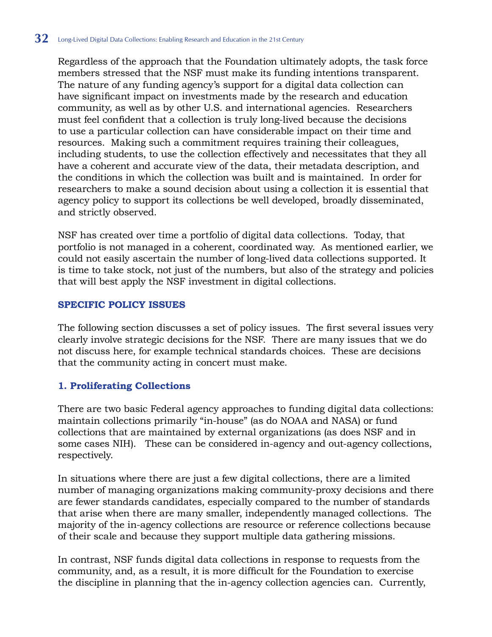Regardless of the approach that the Foundation ultimately adopts, the task force members stressed that the NSF must make its funding intentions transparent. The nature of any funding agency's support for a digital data collection can have significant impact on investments made by the research and education community, as well as by other U.S. and international agencies. Researchers must feel confident that a collection is truly long-lived because the decisions to use a particular collection can have considerable impact on their time and resources. Making such a commitment requires training their colleagues, including students, to use the collection effectively and necessitates that they all have a coherent and accurate view of the data, their metadata description, and the conditions in which the collection was built and is maintained. In order for researchers to make a sound decision about using a collection it is essential that agency policy to support its collections be well developed, broadly disseminated, and strictly observed.

NSF has created over time a portfolio of digital data collections. Today, that portfolio is not managed in a coherent, coordinated way. As mentioned earlier, we could not easily ascertain the number of long-lived data collections supported. It is time to take stock, not just of the numbers, but also of the strategy and policies that will best apply the NSF investment in digital collections.

#### **Specific Policy Issues**

The following section discusses a set of policy issues. The first several issues very clearly involve strategic decisions for the NSF. There are many issues that we do not discuss here, for example technical standards choices. These are decisions that the community acting in concert must make.

#### **1. Proliferating Collections**

There are two basic Federal agency approaches to funding digital data collections: maintain collections primarily "in-house" (as do NOAA and NASA) or fund collections that are maintained by external organizations (as does NSF and in some cases NIH). These can be considered in-agency and out-agency collections, respectively.

In situations where there are just a few digital collections, there are a limited number of managing organizations making community-proxy decisions and there are fewer standards candidates, especially compared to the number of standards that arise when there are many smaller, independently managed collections. The majority of the in-agency collections are resource or reference collections because of their scale and because they support multiple data gathering missions.

In contrast, NSF funds digital data collections in response to requests from the community, and, as a result, it is more difficult for the Foundation to exercise the discipline in planning that the in-agency collection agencies can. Currently,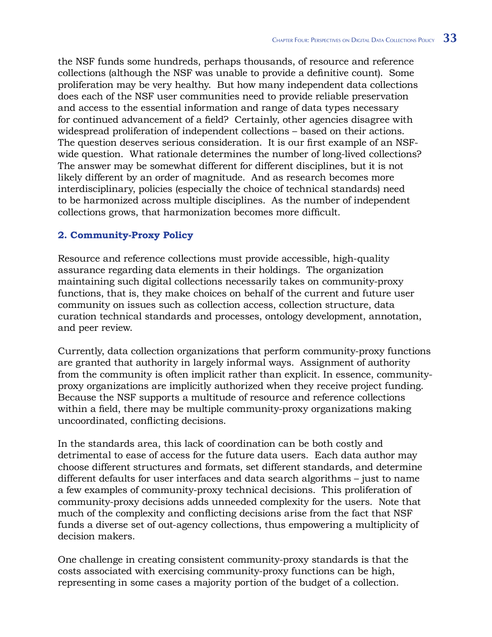the NSF funds some hundreds, perhaps thousands, of resource and reference collections (although the NSF was unable to provide a definitive count). Some proliferation may be very healthy. But how many independent data collections does each of the NSF user communities need to provide reliable preservation and access to the essential information and range of data types necessary for continued advancement of a field? Certainly, other agencies disagree with widespread proliferation of independent collections – based on their actions. The question deserves serious consideration. It is our first example of an NSFwide question. What rationale determines the number of long-lived collections? The answer may be somewhat different for different disciplines, but it is not likely different by an order of magnitude. And as research becomes more interdisciplinary, policies (especially the choice of technical standards) need to be harmonized across multiple disciplines. As the number of independent collections grows, that harmonization becomes more difficult.

# **2. Community-Proxy Policy**

Resource and reference collections must provide accessible, high-quality assurance regarding data elements in their holdings. The organization maintaining such digital collections necessarily takes on community-proxy functions, that is, they make choices on behalf of the current and future user community on issues such as collection access, collection structure, data curation technical standards and processes, ontology development, annotation, and peer review.

Currently, data collection organizations that perform community-proxy functions are granted that authority in largely informal ways. Assignment of authority from the community is often implicit rather than explicit. In essence, communityproxy organizations are implicitly authorized when they receive project funding. Because the NSF supports a multitude of resource and reference collections within a field, there may be multiple community-proxy organizations making uncoordinated, conflicting decisions.

In the standards area, this lack of coordination can be both costly and detrimental to ease of access for the future data users. Each data author may choose different structures and formats, set different standards, and determine different defaults for user interfaces and data search algorithms – just to name a few examples of community-proxy technical decisions. This proliferation of community-proxy decisions adds unneeded complexity for the users. Note that much of the complexity and conflicting decisions arise from the fact that NSF funds a diverse set of out-agency collections, thus empowering a multiplicity of decision makers.

One challenge in creating consistent community-proxy standards is that the costs associated with exercising community-proxy functions can be high, representing in some cases a majority portion of the budget of a collection.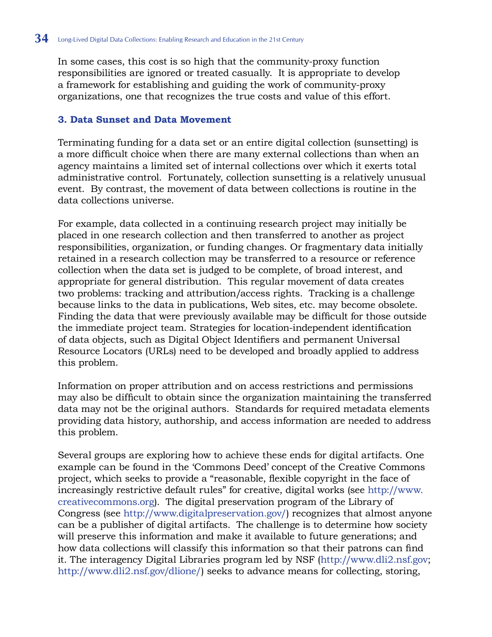In some cases, this cost is so high that the community-proxy function responsibilities are ignored or treated casually. It is appropriate to develop a framework for establishing and guiding the work of community-proxy organizations, one that recognizes the true costs and value of this effort.

#### **3. Data Sunset and Data Movement**

Terminating funding for a data set or an entire digital collection (sunsetting) is a more difficult choice when there are many external collections than when an agency maintains a limited set of internal collections over which it exerts total administrative control. Fortunately, collection sunsetting is a relatively unusual event. By contrast, the movement of data between collections is routine in the data collections universe.

For example, data collected in a continuing research project may initially be placed in one research collection and then transferred to another as project responsibilities, organization, or funding changes. Or fragmentary data initially retained in a research collection may be transferred to a resource or reference collection when the data set is judged to be complete, of broad interest, and appropriate for general distribution. This regular movement of data creates two problems: tracking and attribution/access rights. Tracking is a challenge because links to the data in publications, Web sites, etc. may become obsolete. Finding the data that were previously available may be difficult for those outside the immediate project team. Strategies for location-independent identification of data objects, such as Digital Object Identifiers and permanent Universal Resource Locators (URLs) need to be developed and broadly applied to address this problem.

Information on proper attribution and on access restrictions and permissions may also be difficult to obtain since the organization maintaining the transferred data may not be the original authors. Standards for required metadata elements providing data history, authorship, and access information are needed to address this problem.

Several groups are exploring how to achieve these ends for digital artifacts. One example can be found in the 'Commons Deed' concept of the Creative Commons project, which seeks to provide a "reasonable, flexible copyright in the face of increasingly restrictive default rules" for creative, digital works (see [http://www.](http://www.creativecommons.org) [creativecommons.org](http://www.creativecommons.org)). The digital preservation program of the Library of Congress (see [http://www.digitalpreservation.gov/](http://www.digitalpreservation.gov)) recognizes that almost anyone can be a publisher of digital artifacts. The challenge is to determine how society will preserve this information and make it available to future generations; and how data collections will classify this information so that their patrons can find it. The interagency Digital Libraries program led by NSF [\(http://www.dli2.nsf.gov;](http://www.dli2.nsf.gov) [http://www.dli2.nsf.gov/dlione/\)](http://www.dli2.nsf.gov/dlione) seeks to advance means for collecting, storing,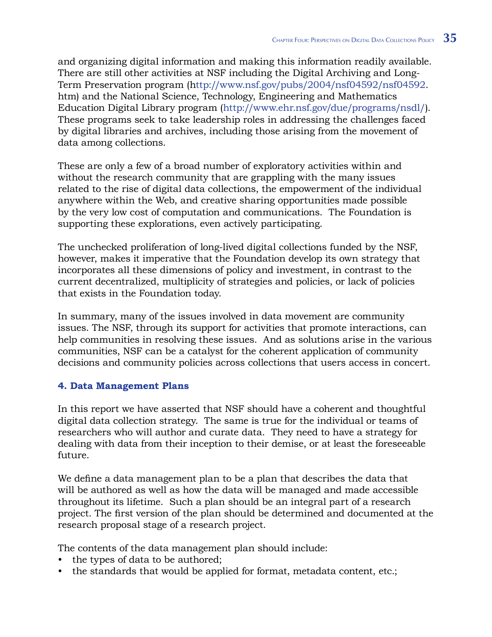and organizing digital information and making this information readily available. There are still other activities at NSF including the Digital Archiving and Long-Term Preservation program [\(http://www.nsf.gov/pubs/2004/nsf04592/nsf04592.](http://www.nsf.gov/pubs/2004/nsf04592/nsf04592.htm) [htm\)](http://www.nsf.gov/pubs/2004/nsf04592/nsf04592.htm) and the National Science, Technology, Engineering and Mathematics Education Digital Library program ([http://www.ehr.nsf.gov/due/programs/nsdl/](http://www.ehr.nsf.gov/due/programs/nsdl)). These programs seek to take leadership roles in addressing the challenges faced by digital libraries and archives, including those arising from the movement of data among collections.

These are only a few of a broad number of exploratory activities within and without the research community that are grappling with the many issues related to the rise of digital data collections, the empowerment of the individual anywhere within the Web, and creative sharing opportunities made possible by the very low cost of computation and communications. The Foundation is supporting these explorations, even actively participating.

The unchecked proliferation of long-lived digital collections funded by the NSF, however, makes it imperative that the Foundation develop its own strategy that incorporates all these dimensions of policy and investment, in contrast to the current decentralized, multiplicity of strategies and policies, or lack of policies that exists in the Foundation today.

In summary, many of the issues involved in data movement are community issues. The NSF, through its support for activities that promote interactions, can help communities in resolving these issues. And as solutions arise in the various communities, NSF can be a catalyst for the coherent application of community decisions and community policies across collections that users access in concert.

#### **4. Data Management Plans**

In this report we have asserted that NSF should have a coherent and thoughtful digital data collection strategy. The same is true for the individual or teams of researchers who will author and curate data. They need to have a strategy for dealing with data from their inception to their demise, or at least the foreseeable future.

We define a data management plan to be a plan that describes the data that will be authored as well as how the data will be managed and made accessible throughout its lifetime. Such a plan should be an integral part of a research project. The first version of the plan should be determined and documented at the research proposal stage of a research project.

The contents of the data management plan should include:

- the types of data to be authored;
- the standards that would be applied for format, metadata content, etc.;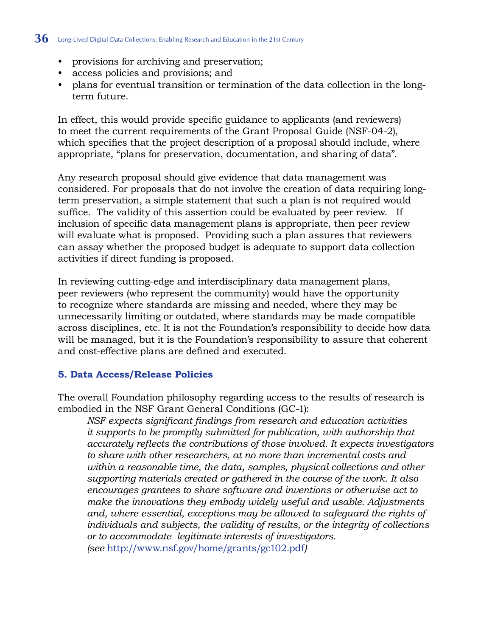#### **36** Long-Lived Digital Data Collections: Enabling Research and Education in the 21st Century

- provisions for archiving and preservation;
- access policies and provisions; and
- plans for eventual transition or termination of the data collection in the longterm future.

In effect, this would provide specific guidance to applicants (and reviewers) to meet the current requirements of the Grant Proposal Guide (NSF-04-2), which specifies that the project description of a proposal should include, where appropriate, "plans for preservation, documentation, and sharing of data".

Any research proposal should give evidence that data management was considered. For proposals that do not involve the creation of data requiring longterm preservation, a simple statement that such a plan is not required would suffice. The validity of this assertion could be evaluated by peer review. If inclusion of specific data management plans is appropriate, then peer review will evaluate what is proposed. Providing such a plan assures that reviewers can assay whether the proposed budget is adequate to support data collection activities if direct funding is proposed.

In reviewing cutting-edge and interdisciplinary data management plans, peer reviewers (who represent the community) would have the opportunity to recognize where standards are missing and needed, where they may be unnecessarily limiting or outdated, where standards may be made compatible across disciplines, etc. It is not the Foundation's responsibility to decide how data will be managed, but it is the Foundation's responsibility to assure that coherent and cost-effective plans are defined and executed.

#### **5. Data Access/Release Policies**

The overall Foundation philosophy regarding access to the results of research is embodied in the NSF Grant General Conditions (GC-1):

*NSF expects significant findings from research and education activities it supports to be promptly submitted for publication, with authorship that accurately reflects the contributions of those involved. It expects investigators to share with other researchers, at no more than incremental costs and within a reasonable time, the data, samples, physical collections and other supporting materials created or gathered in the course of the work. It also encourages grantees to share software and inventions or otherwise act to make the innovations they embody widely useful and usable. Adjustments and, where essential, exceptions may be allowed to safeguard the rights of individuals and subjects, the validity of results, or the integrity of collections or to accommodate legitimate interests of investigators. (see* <http://www.nsf.gov/home/grants/gc102.pdf>*)*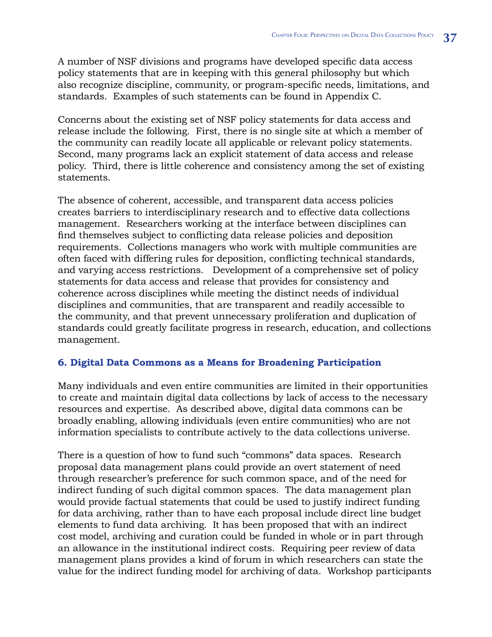A number of NSF divisions and programs have developed specific data access policy statements that are in keeping with this general philosophy but which also recognize discipline, community, or program-specific needs, limitations, and standards. Examples of such statements can be found in Appendix C.

Concerns about the existing set of NSF policy statements for data access and release include the following. First, there is no single site at which a member of the community can readily locate all applicable or relevant policy statements. Second, many programs lack an explicit statement of data access and release policy. Third, there is little coherence and consistency among the set of existing statements.

The absence of coherent, accessible, and transparent data access policies creates barriers to interdisciplinary research and to effective data collections management. Researchers working at the interface between disciplines can find themselves subject to conflicting data release policies and deposition requirements. Collections managers who work with multiple communities are often faced with differing rules for deposition, conflicting technical standards, and varying access restrictions. Development of a comprehensive set of policy statements for data access and release that provides for consistency and coherence across disciplines while meeting the distinct needs of individual disciplines and communities, that are transparent and readily accessible to the community, and that prevent unnecessary proliferation and duplication of standards could greatly facilitate progress in research, education, and collections management.

#### **6. Digital Data Commons as a Means for Broadening Participation**

Many individuals and even entire communities are limited in their opportunities to create and maintain digital data collections by lack of access to the necessary resources and expertise. As described above, digital data commons can be broadly enabling, allowing individuals (even entire communities) who are not information specialists to contribute actively to the data collections universe.

There is a question of how to fund such "commons" data spaces. Research proposal data management plans could provide an overt statement of need through researcher's preference for such common space, and of the need for indirect funding of such digital common spaces. The data management plan would provide factual statements that could be used to justify indirect funding for data archiving, rather than to have each proposal include direct line budget elements to fund data archiving. It has been proposed that with an indirect cost model, archiving and curation could be funded in whole or in part through an allowance in the institutional indirect costs. Requiring peer review of data management plans provides a kind of forum in which researchers can state the value for the indirect funding model for archiving of data. Workshop participants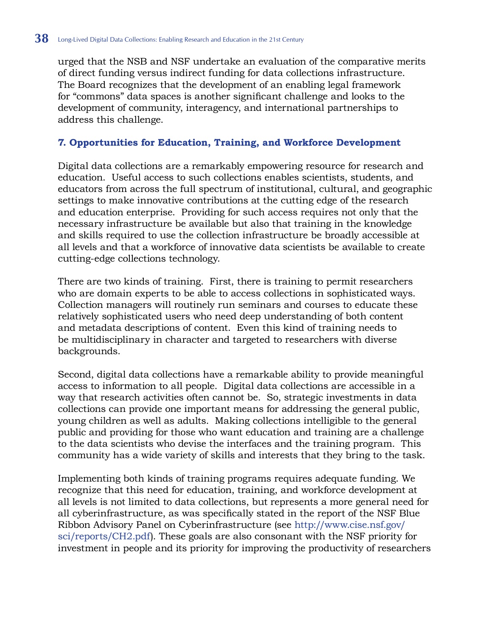urged that the NSB and NSF undertake an evaluation of the comparative merits of direct funding versus indirect funding for data collections infrastructure. The Board recognizes that the development of an enabling legal framework for "commons" data spaces is another significant challenge and looks to the development of community, interagency, and international partnerships to address this challenge.

#### **7. Opportunities for Education, Training, and Workforce Development**

Digital data collections are a remarkably empowering resource for research and education. Useful access to such collections enables scientists, students, and educators from across the full spectrum of institutional, cultural, and geographic settings to make innovative contributions at the cutting edge of the research and education enterprise. Providing for such access requires not only that the necessary infrastructure be available but also that training in the knowledge and skills required to use the collection infrastructure be broadly accessible at all levels and that a workforce of innovative data scientists be available to create cutting-edge collections technology.

There are two kinds of training. First, there is training to permit researchers who are domain experts to be able to access collections in sophisticated ways. Collection managers will routinely run seminars and courses to educate these relatively sophisticated users who need deep understanding of both content and metadata descriptions of content. Even this kind of training needs to be multidisciplinary in character and targeted to researchers with diverse backgrounds.

Second, digital data collections have a remarkable ability to provide meaningful access to information to all people. Digital data collections are accessible in a way that research activities often cannot be. So, strategic investments in data collections can provide one important means for addressing the general public, young children as well as adults. Making collections intelligible to the general public and providing for those who want education and training are a challenge to the data scientists who devise the interfaces and the training program. This community has a wide variety of skills and interests that they bring to the task.

Implementing both kinds of training programs requires adequate funding. We recognize that this need for education, training, and workforce development at all levels is not limited to data collections, but represents a more general need for all cyberinfrastructure, as was specifically stated in the report of the NSF Blue Ribbon Advisory Panel on Cyberinfrastructure (see [http://www.cise.nsf.gov/](http://www.cise.nsf.gov/sci/reports/CH2.pdf) [sci/reports/CH2.pdf](http://www.cise.nsf.gov/sci/reports/CH2.pdf)). These goals are also consonant with the NSF priority for investment in people and its priority for improving the productivity of researchers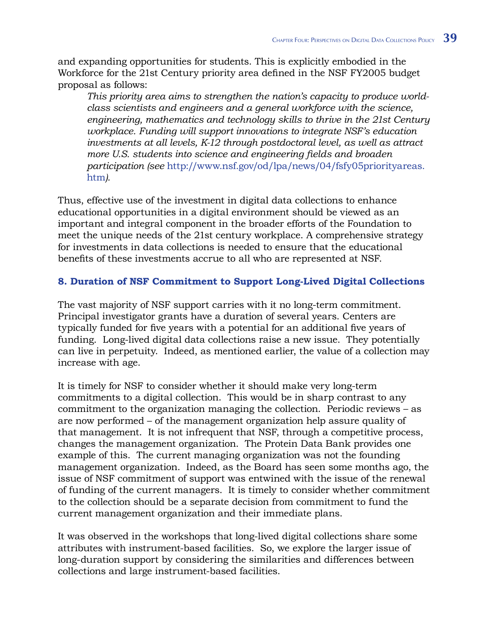and expanding opportunities for students. This is explicitly embodied in the Workforce for the 21st Century priority area defined in the NSF FY2005 budget proposal as follows:

*This priority area aims to strengthen the nation's capacity to produce worldclass scientists and engineers and a general workforce with the science, engineering, mathematics and technology skills to thrive in the 21st Century workplace. Funding will support innovations to integrate NSF's education investments at all levels, K-12 through postdoctoral level, as well as attract more U.S. students into science and engineering fields and broaden participation (see* [http://www.nsf.gov/od/lpa/news/04/fsfy05priorityareas.](http://www.nsf.gov/od/lpa/news/04/fsfy05priorityareas.htm) htm*).*

Thus, effective use of the investment in digital data collections to enhance educational opportunities in a digital environment should be viewed as an important and integral component in the broader efforts of the Foundation to meet the unique needs of the 21st century workplace. A comprehensive strategy for investments in data collections is needed to ensure that the educational benefits of these investments accrue to all who are represented at NSF.

## **8. Duration of NSF Commitment to Support Long-Lived Digital Collections**

The vast majority of NSF support carries with it no long-term commitment. Principal investigator grants have a duration of several years. Centers are typically funded for five years with a potential for an additional five years of funding. Long-lived digital data collections raise a new issue. They potentially can live in perpetuity. Indeed, as mentioned earlier, the value of a collection may increase with age.

It is timely for NSF to consider whether it should make very long-term commitments to a digital collection. This would be in sharp contrast to any commitment to the organization managing the collection. Periodic reviews – as are now performed – of the management organization help assure quality of that management. It is not infrequent that NSF, through a competitive process, changes the management organization. The Protein Data Bank provides one example of this. The current managing organization was not the founding management organization. Indeed, as the Board has seen some months ago, the issue of NSF commitment of support was entwined with the issue of the renewal of funding of the current managers. It is timely to consider whether commitment to the collection should be a separate decision from commitment to fund the current management organization and their immediate plans.

It was observed in the workshops that long-lived digital collections share some attributes with instrument-based facilities. So, we explore the larger issue of long-duration support by considering the similarities and differences between collections and large instrument-based facilities.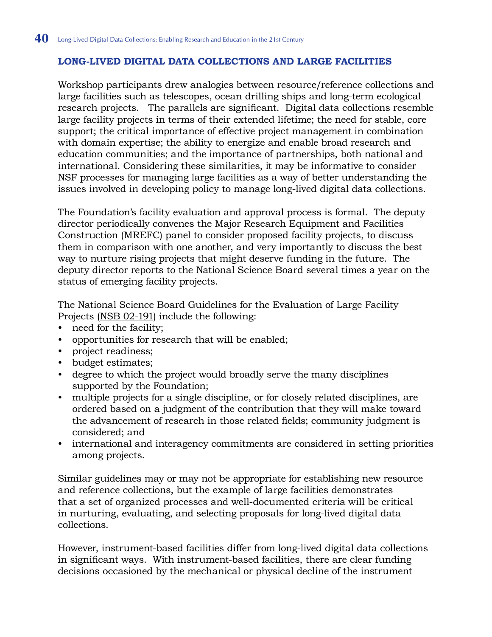## **Long-Lived Digital Data Collections and Large Facilities**

Workshop participants drew analogies between resource/reference collections and large facilities such as telescopes, ocean drilling ships and long-term ecological research projects. The parallels are significant. Digital data collections resemble large facility projects in terms of their extended lifetime; the need for stable, core support; the critical importance of effective project management in combination with domain expertise; the ability to energize and enable broad research and education communities; and the importance of partnerships, both national and international. Considering these similarities, it may be informative to consider NSF processes for managing large facilities as a way of better understanding the issues involved in developing policy to manage long-lived digital data collections.

The Foundation's facility evaluation and approval process is formal. The deputy director periodically convenes the Major Research Equipment and Facilities Construction (MREFC) panel to consider proposed facility projects, to discuss them in comparison with one another, and very importantly to discuss the best way to nurture rising projects that might deserve funding in the future. The deputy director reports to the National Science Board several times a year on the status of emerging facility projects.

The National Science Board Guidelines for the Evaluation of Large Facility Projects (NSB 02-191) include the following:

- need for the facility; •
- opportunities for research that will be enabled;
- project readiness;
- budget estimates;
- degree to which the project would broadly serve the many disciplines supported by the Foundation;
- multiple projects for a single discipline, or for closely related disciplines, are ordered based on a judgment of the contribution that they will make toward the advancement of research in those related fields; community judgment is considered; and •
- international and interagency commitments are considered in setting priorities among projects.

Similar guidelines may or may not be appropriate for establishing new resource and reference collections, but the example of large facilities demonstrates that a set of organized processes and well-documented criteria will be critical in nurturing, evaluating, and selecting proposals for long-lived digital data collections.

However, instrument-based facilities differ from long-lived digital data collections in significant ways. With instrument-based facilities, there are clear funding decisions occasioned by the mechanical or physical decline of the instrument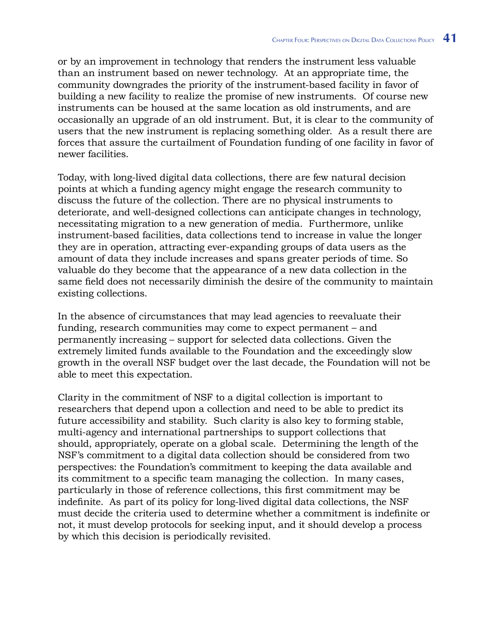or by an improvement in technology that renders the instrument less valuable than an instrument based on newer technology. At an appropriate time, the community downgrades the priority of the instrument-based facility in favor of building a new facility to realize the promise of new instruments. Of course new instruments can be housed at the same location as old instruments, and are occasionally an upgrade of an old instrument. But, it is clear to the community of users that the new instrument is replacing something older. As a result there are forces that assure the curtailment of Foundation funding of one facility in favor of newer facilities.

Today, with long-lived digital data collections, there are few natural decision points at which a funding agency might engage the research community to discuss the future of the collection. There are no physical instruments to deteriorate, and well-designed collections can anticipate changes in technology, necessitating migration to a new generation of media. Furthermore, unlike instrument-based facilities, data collections tend to increase in value the longer they are in operation, attracting ever-expanding groups of data users as the amount of data they include increases and spans greater periods of time. So valuable do they become that the appearance of a new data collection in the same field does not necessarily diminish the desire of the community to maintain existing collections.

In the absence of circumstances that may lead agencies to reevaluate their funding, research communities may come to expect permanent – and permanently increasing – support for selected data collections. Given the extremely limited funds available to the Foundation and the exceedingly slow growth in the overall NSF budget over the last decade, the Foundation will not be able to meet this expectation.

Clarity in the commitment of NSF to a digital collection is important to researchers that depend upon a collection and need to be able to predict its future accessibility and stability. Such clarity is also key to forming stable, multi-agency and international partnerships to support collections that should, appropriately, operate on a global scale. Determining the length of the NSF's commitment to a digital data collection should be considered from two perspectives: the Foundation's commitment to keeping the data available and its commitment to a specific team managing the collection. In many cases, particularly in those of reference collections, this first commitment may be indefinite. As part of its policy for long-lived digital data collections, the NSF must decide the criteria used to determine whether a commitment is indefinite or not, it must develop protocols for seeking input, and it should develop a process by which this decision is periodically revisited.